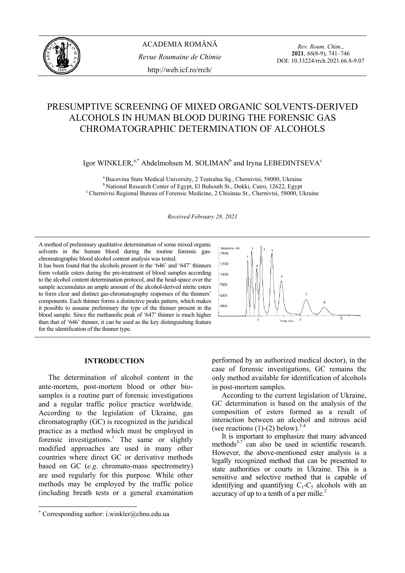

*Rev. Roum. Chim.*, **2021**, *66*(8-9), 741–746 DOI: 10.33224/rrch.2021.66.8-9.07

# PRESUMPTIVE SCREENING OF MIXED ORGANIC SOLVENTS-DERIVED ALCOHOLS IN HUMAN BLOOD DURING THE FORENSIC GAS CHROMATOGRAPHIC DETERMINATION OF ALCOHOLS

Igor WINKLER, $a^*$  Abdelmohsen M. SOLIMAN<sup>b</sup> and Iryna LEBEDINTSEVA<sup>c</sup>

<sup>a</sup> Bucovina State Medical University, 2 Teatralna Sq., Chernivtsi, 58000, Ukraine<br><sup>b</sup> National Research Center of Egypt, El Buhouth St., Dokki, Cairo, 12622, Egypt<br><sup>c</sup> Chernivtsi Regional Bureau of Forensic Medicine, 2 Ch

*Received February 28, 2021* 

A method of preliminary qualitative determination of some mixed organic solvents in the human blood during the routine forensic gaschromatographic blood alcohol content analysis was tested. It has been found that the alcohols present in the '646' and '647' thinners form volatile esters during the pre-treatment of blood samples according to the alcohol content determination protocol, and the head-space over the sample accumulates an ample amount of the alcohol-derived nitrite esters to form clear and distinct gas-chromatography responses of the thinners'

components. Each thinner forms a distinctive peaks pattern, which makes it possible to assume preliminary the type of the thinner present in the blood sample. Since the methanolic peak of '647' thinner is much higher than that of '646' thinner, it can be used as the key distinguishing feature for the identification of the thinner type.



## **INTRODUCTION**<sup>∗</sup>

 The determination of alcohol content in the ante-mortem, post-mortem blood or other biosamples is a routine part of forensic investigations and a regular traffic police practice worldwide. According to the legislation of Ukraine, gas chromatography (GC) is recognized in the juridical practice as a method which must be employed in forensic investigations.<sup>1</sup> The same or slightly modified approaches are used in many other countries where direct GC or derivative methods based on GC (*e.g*. chromato-mass spectrometry) are used regularly for this purpose. While other methods may be employed by the traffic police (including breath tests or a general examination

 $\overline{a}$ 

performed by an authorized medical doctor), in the case of forensic investigations, GC remains the only method available for identification of alcohols in post-mortem samples.

 According to the current legislation of Ukraine, GC determination is based on the analysis of the composition of esters formed as a result of interaction between an alcohol and nitrous acid (see reactions  $(1)-(2)$  below).<sup>2-4</sup>

 It is important to emphasize that many advanced methods<sup>5-7</sup> can also be used in scientific research. However, the above-mentioned ester analysis is a legally recognized method that can be presented to state authorities or courts in Ukraine. This is a sensitive and selective method that is capable of identifying and quantifying  $C_1-C_5$  alcohols with an accuracy of up to a tenth of a per mille.<sup>2</sup>

<sup>∗</sup> Corresponding author: i.winkler@chnu.edu.ua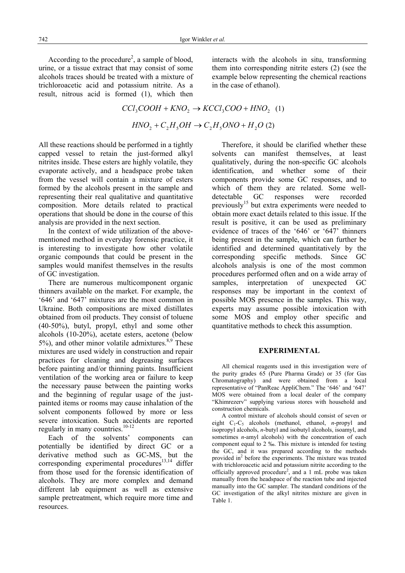According to the procedure<sup>2</sup>, a sample of blood, urine, or a tissue extract that may consist of some alcohols traces should be treated with a mixture of trichloroacetic acid and potassium nitrite. As a result, nitrous acid is formed (1), which then

interacts with the alcohols in situ, transforming them into corresponding nitrite esters (2) (see the example below representing the chemical reactions in the case of ethanol).

 $CCl_3COOH + KNO_2 \rightarrow KCCl_3COO + HNO_2$  (1)  $HNO<sub>2</sub> + C<sub>2</sub>H<sub>5</sub>OH \rightarrow C<sub>2</sub>H<sub>5</sub>ONO + H<sub>2</sub>O$  (2)

All these reactions should be performed in a tightly capped vessel to retain the just-formed alkyl nitrites inside. These esters are highly volatile, they evaporate actively, and a headspace probe taken from the vessel will contain a mixture of esters formed by the alcohols present in the sample and representing their real qualitative and quantitative composition. More details related to practical operations that should be done in the course of this analysis are provided in the next section.

 In the context of wide utilization of the abovementioned method in everyday forensic practice, it is interesting to investigate how other volatile organic compounds that could be present in the samples would manifest themselves in the results of GC investigation.

 There are numerous multicomponent organic thinners available on the market. For example, the '646' and '647' mixtures are the most common in Ukraine. Both compositions are mixed distillates obtained from oil products. They consist of toluene (40-50%), butyl, propyl, ethyl and some other alcohols (10-20%), acetate esters, acetone (below 5%), and other minor volatile admixtures. $8,9$  These mixtures are used widely in construction and repair practices for cleaning and degreasing surfaces before painting and/or thinning paints. Insufficient ventilation of the working area or failure to keep the necessary pause between the painting works and the beginning of regular usage of the justpainted items or rooms may cause inhalation of the solvent components followed by more or less severe intoxication. Such accidents are reported regularly in many countries.<sup>10-12</sup>

 Each of the solvents' components can potentially be identified by direct GC or a derivative method such as GC-MS, but the corresponding experimental procedures $13,14$  differ from those used for the forensic identification of alcohols. They are more complex and demand different lab equipment as well as extensive sample pretreatment, which require more time and resources.

 Therefore, it should be clarified whether these solvents can manifest themselves, at least qualitatively, during the non-specific GC alcohols identification, and whether some of their components provide some GC responses, and to which of them they are related. Some welldetectable GC responses were recorded previously<sup>15</sup> but extra experiments were needed to obtain more exact details related to this issue. If the result is positive, it can be used as preliminary evidence of traces of the '646' or '647' thinners being present in the sample, which can further be identified and determined quantitatively by the corresponding specific methods. Since GC alcohols analysis is one of the most common procedures performed often and on a wide array of samples, interpretation of unexpected GC responses may be important in the context of possible MOS presence in the samples. This way, experts may assume possible intoxication with some MOS and employ other specific and quantitative methods to check this assumption.

#### **EXPERIMENTAL**

 All chemical reagents used in this investigation were of the purity grades 65 (Pure Pharma Grade) or 35 (for Gas Chromatography) and were obtained from a local representative of "PanReac AppliChem." The '646' and '647' MOS were obtained from a local dealer of the company "Khimrezerv" supplying various stores with household and construction chemicals.

 A control mixture of alcohols should consist of seven or eight C1-C5 alcohols (methanol, ethanol, *n*-propyl and isopropyl alcohols, *n*-butyl and isobutyl alcohols, isoamyl, and sometimes *n*-amyl alcohols) with the concentration of each component equal to 2 ‰. This mixture is intended for testing the GC, and it was prepared according to the methods provided in<sup>2</sup> before the experiments. The mixture was treated with trichloroacetic acid and potassium nitrite according to the officially approved procedure<sup>2</sup>, and a 1 mL probe was taken manually from the headspace of the reaction tube and injected manually into the GC sampler. The standard conditions of the GC investigation of the alkyl nitrites mixture are given in Table 1.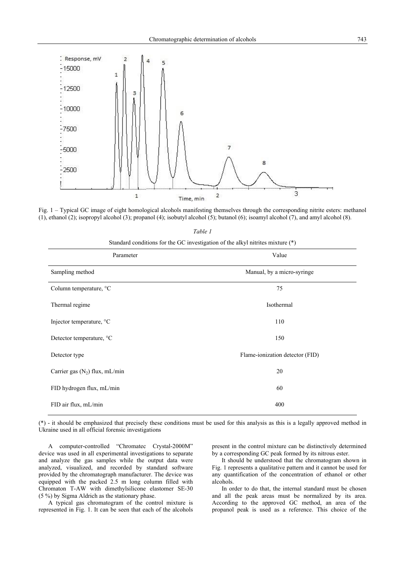

Fig. 1 – Typical GC image of eight homological alcohols manifesting themselves through the corresponding nitrite esters: methanol (1), ethanol (2); isopropyl alcohol (3); propanol (4); isobutyl alcohol (5); butanol (6); isoamyl alcohol (7), and amyl alcohol (8).

| I<br>۰, |  |
|---------|--|
|---------|--|

Standard conditions for the GC investigation of the alkyl nitrites mixture (\*)

| Parameter                        | Value                           |
|----------------------------------|---------------------------------|
| Sampling method                  | Manual, by a micro-syringe      |
| Column temperature, °C           | 75                              |
| Thermal regime                   | Isothermal                      |
| Injector temperature, °C         | 110                             |
| Detector temperature, °C         | 150                             |
| Detector type                    | Flame-ionization detector (FID) |
| Carrier gas $(N_2)$ flux, mL/min | 20                              |
| FID hydrogen flux, mL/min        | 60                              |
| FID air flux, mL/min             | 400                             |

(\*) - it should be emphasized that precisely these conditions must be used for this analysis as this is a legally approved method in Ukraine used in all official forensic investigations

A computer-controlled "Chromatec Crystal-2000M" device was used in all experimental investigations to separate and analyze the gas samples while the output data were analyzed, visualized, and recorded by standard software provided by the chromatograph manufacturer. The device was equipped with the packed 2.5 m long column filled with Chromaton T-AW with dimethylsilicone elastomer SE-30 (5 %) by Sigma Aldrich as the stationary phase.

A typical gas chromatogram of the control mixture is represented in Fig. 1. It can be seen that each of the alcohols present in the control mixture can be distinctively determined by a corresponding GC peak formed by its nitrous ester.

It should be understood that the chromatogram shown in Fig. 1 represents a qualitative pattern and it cannot be used for any quantification of the concentration of ethanol or other alcohols.

In order to do that, the internal standard must be chosen and all the peak areas must be normalized by its area. According to the approved GC method, an area of the propanol peak is used as a reference. This choice of the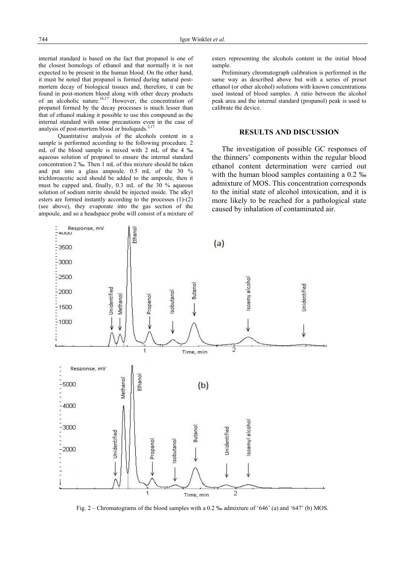internal standard is based on the fact that propanol is one of the closest homologs of ethanol and that normally it is not expected to be present in the human blood. On the other hand, it must be noted that propanol is formed during natural postmortem decay of biological tissues and, therefore, it can be found in post-mortem blood along with other decay products of an alcoholic nature.<sup>16,17</sup> However, the concentration of propanol formed by the decay processes is much lesser than that of ethanol making it possible to use this compound as the internal standard with some precautions even in the case of analysis of post-mortem blood or bioliquids.<sup>2,17</sup>

 Quantitative analysis of the alcohols content in a sample is performed according to the following procedure. 2 mL of the blood sample is mixed with 2 mL of the 4 ‰ aqueous solution of propanol to ensure the internal standard concentration 2 ‰. Then 1 mL of this mixture should be taken and put into a glass ampoule. 0.5 mL of the 30 % trichloroacetic acid should be added to the ampoule, then it must be capped and, finally, 0.3 mL of the 30 % aqueous solution of sodium nitrite should be injected inside. The alkyl esters are formed instantly according to the processes (1)-(2) (see above), they evaporate into the gas section of the ampoule, and so a headspace probe will consist of a mixture of

esters representing the alcohols content in the initial blood sample.

 Preliminary chromatograph calibration is performed in the same way as described above but with a series of preset ethanol (or other alcohol) solutions with known concentrations used instead of blood samples. A ratio between the alcohol peak area and the internal standard (propanol) peak is used to calibrate the device.

## **RESULTS AND DISCUSSION**

 The investigation of possible GC responses of the thinners' components within the regular blood ethanol content determination were carried out with the human blood samples containing a 0.2 ‰ admixture of MOS. This concentration corresponds to the initial state of alcohol intoxication, and it is more likely to be reached for a pathological state caused by inhalation of contaminated air.



Fig. 2 – Chromatograms of the blood samples with a 0.2 ‰ admixture of '646' (a) and '647' (b) MOS.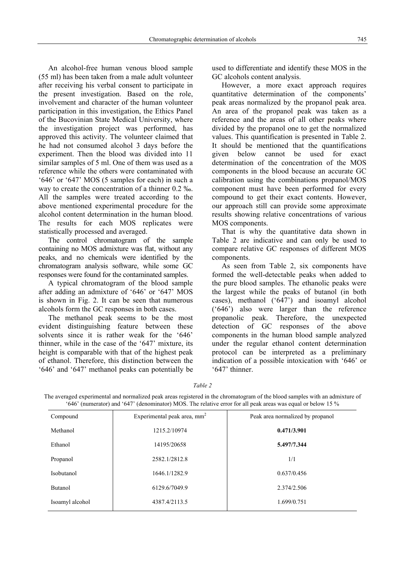An alcohol-free human venous blood sample (55 ml) has been taken from a male adult volunteer after receiving his verbal consent to participate in the present investigation. Based on the role, involvement and character of the human volunteer participation in this investigation, the Ethics Panel of the Bucovinian State Medical University, where the investigation project was performed, has approved this activity. The volunteer claimed that he had not consumed alcohol 3 days before the experiment. Then the blood was divided into 11 similar samples of 5 ml. One of them was used as a reference while the others were contaminated with '646' or '647' MOS (5 samples for each) in such a way to create the concentration of a thinner 0.2 ‰. All the samples were treated according to the above mentioned experimental procedure for the alcohol content determination in the human blood. The results for each MOS replicates were statistically processed and averaged.

 The control chromatogram of the sample containing no MOS admixture was flat, without any peaks, and no chemicals were identified by the chromatogram analysis software, while some GC responses were found for the contaminated samples.

 A typical chromatogram of the blood sample after adding an admixture of '646' or '647' MOS is shown in Fig. 2. It can be seen that numerous alcohols form the GC responses in both cases.

 The methanol peak seems to be the most evident distinguishing feature between these solvents since it is rather weak for the '646' thinner, while in the case of the '647' mixture, its height is comparable with that of the highest peak of ethanol. Therefore, this distinction between the '646' and '647' methanol peaks can potentially be used to differentiate and identify these MOS in the GC alcohols content analysis.

 However, a more exact approach requires quantitative determination of the components' peak areas normalized by the propanol peak area. An area of the propanol peak was taken as a reference and the areas of all other peaks where divided by the propanol one to get the normalized values. This quantification is presented in Table 2. It should be mentioned that the quantifications given below cannot be used for exact determination of the concentration of the MOS components in the blood because an accurate GC calibration using the combinations propanol/MOS component must have been performed for every compound to get their exact contents. However, our approach still can provide some approximate results showing relative concentrations of various MOS components.

 That is why the quantitative data shown in Table 2 are indicative and can only be used to compare relative GC responses of different MOS components.

As seen from Table 2, six components have formed the well-detectable peaks when added to the pure blood samples. The ethanolic peaks were the largest while the peaks of butanol (in both cases), methanol ('647') and isoamyl alcohol ('646') also were larger than the reference propanolic peak. Therefore, the unexpected detection of GC responses of the above components in the human blood sample analyzed under the regular ethanol content determination protocol can be interpreted as a preliminary indication of a possible intoxication with '646' or '647' thinner.

*Table 2* 

The averaged experimental and normalized peak areas registered in the chromatogram of the blood samples with an admixture of '646' (numerator) and '647' (denominator) MOS. The relative error for all peak areas was equal or below 15 %

| Compound        | Experimental peak area, $mm2$ | Peak area normalized by propanol |
|-----------------|-------------------------------|----------------------------------|
| Methanol        | 1215.2/10974                  | 0.471/3.901                      |
| Ethanol         | 14195/20658                   | 5.497/7.344                      |
| Propanol        | 2582.1/2812.8                 | 1/1                              |
| Isobutanol      | 1646.1/1282.9                 | 0.637/0.456                      |
| <b>Butanol</b>  | 6129.6/7049.9                 | 2.374/2.506                      |
| Isoamyl alcohol | 4387.4/2113.5                 | 1.699/0.751                      |